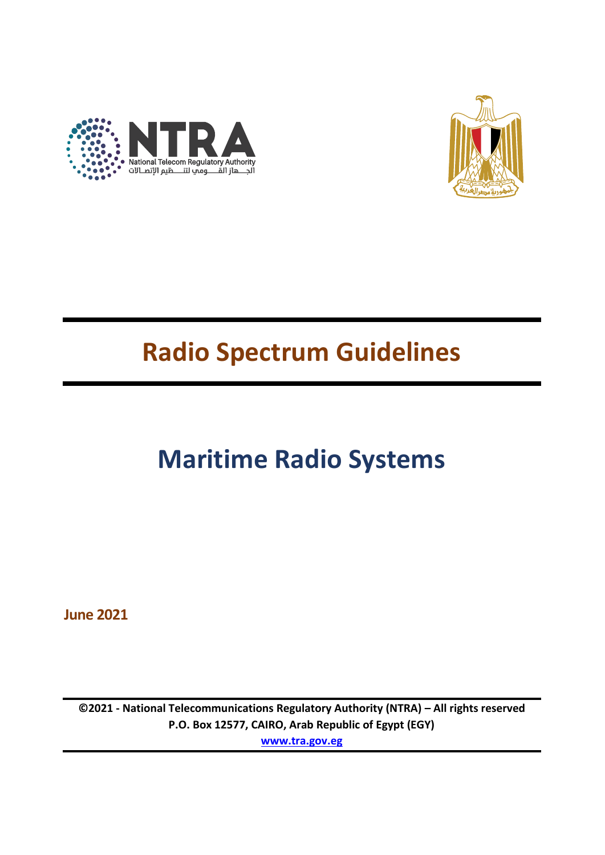



## **Radio Spectrum Guidelines**

# **Maritime Radio Systems**

**June 2021**

**©2021 - National Telecommunications Regulatory Authority (NTRA) – All rights reserved P.O. Box 12577, CAIRO, Arab Republic of Egypt (EGY) [www.tra.gov.eg](http://www.tra.gov.eg/)**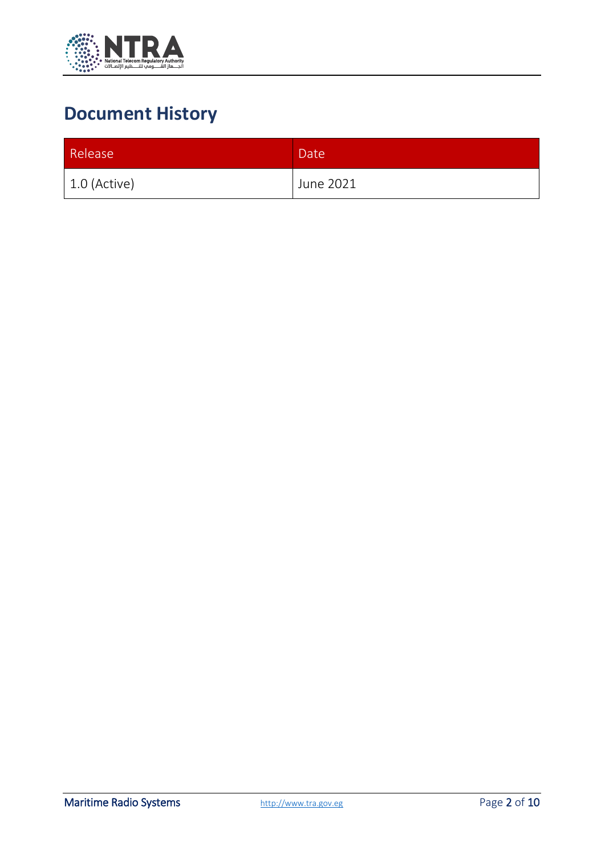

## **Document History**

| Release        | Date <sup>1</sup> |
|----------------|-------------------|
| $1.0$ (Active) | June 2021         |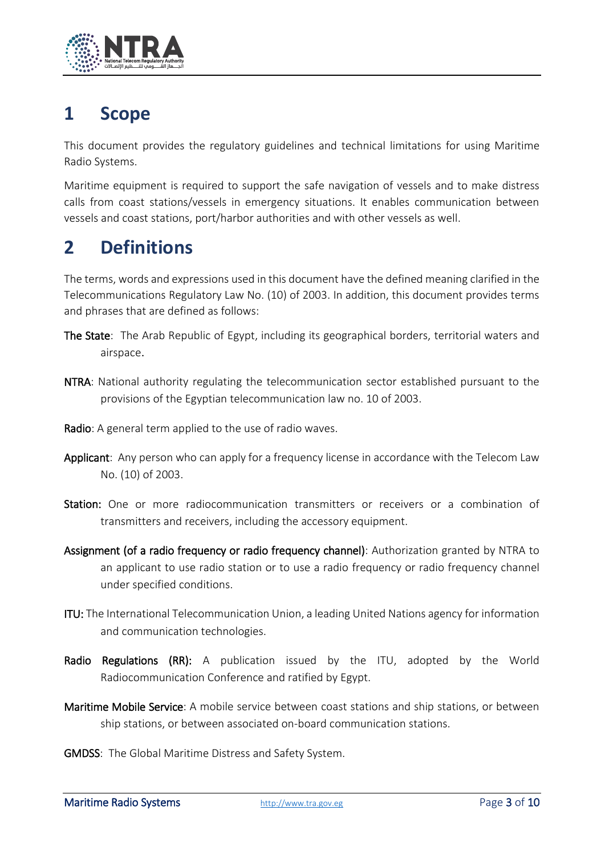

## **1 Scope**

This document provides the regulatory guidelines and technical limitations for using Maritime Radio Systems.

Maritime equipment is required to support the safe navigation of vessels and to make distress calls from coast stations/vessels in emergency situations. It enables communication between vessels and coast stations, port/harbor authorities and with other vessels as well.

## **2 Definitions**

The terms, words and expressions used in this document have the defined meaning clarified in the Telecommunications Regulatory Law No. (10) of 2003. In addition, this document provides terms and phrases that are defined as follows:

- The State: The Arab Republic of Egypt, including its geographical borders, territorial waters and airspace.
- NTRA: National authority regulating the telecommunication sector established pursuant to the provisions of the Egyptian telecommunication law no. 10 of 2003.
- Radio: A general term applied to the use of radio waves.
- Applicant: Any person who can apply for a frequency license in accordance with the Telecom Law No. (10) of 2003.
- Station: One or more radiocommunication transmitters or receivers or a combination of transmitters and receivers, including the accessory equipment.
- Assignment (of a radio frequency or radio frequency channel): Authorization granted by NTRA to an applicant to use radio station or to use a radio frequency or radio frequency channel under specified conditions.
- ITU: The International Telecommunication Union, a leading United Nations agency for information and communication technologies.
- Radio Regulations (RR): A publication issued by the ITU, adopted by the World Radiocommunication Conference and ratified by Egypt.
- Maritime Mobile Service: A mobile service between coast stations and ship stations, or between ship stations, or between associated on-board communication stations.
- GMDSS: The Global Maritime Distress and Safety System.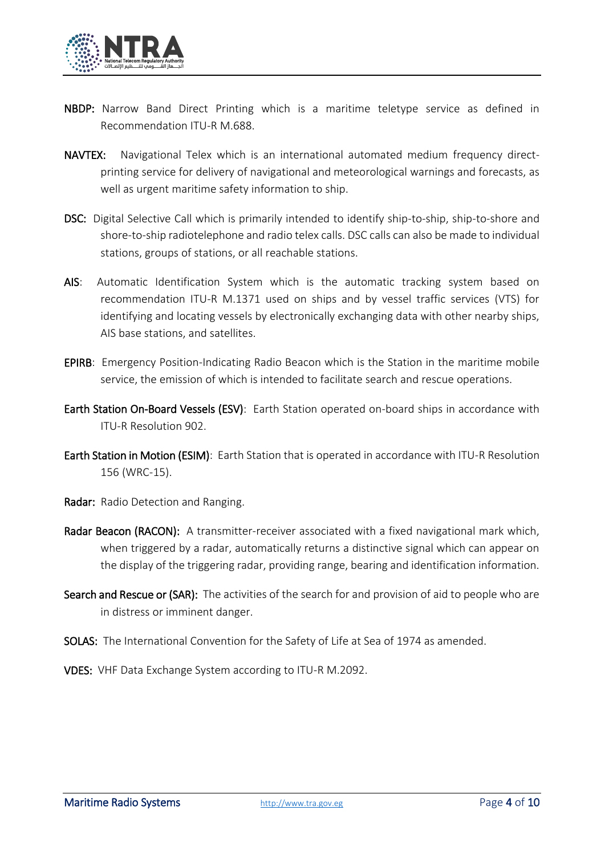

- NBDP: Narrow Band Direct Printing which is a maritime teletype service as defined in Recommendation ITU-R M.688.
- NAVTEX: Navigational Telex which is an international automated medium frequency directprinting service for delivery of navigational and meteorological warnings and forecasts, as well as urgent maritime safety information to ship.
- DSC: Digital Selective Call which is primarily intended to identify ship-to-ship, ship-to-shore and shore-to-ship radiotelephone and radio telex calls. DSC calls can also be made to individual stations, groups of stations, or all reachable stations.
- AIS: Automatic Identification System which is the automatic tracking system based on recommendation ITU-R M.1371 used on ships and by vessel traffic services (VTS) for identifying and locating vessels by electronically exchanging data with other nearby ships, AIS base stations, and satellites.
- EPIRB: Emergency Position-Indicating Radio Beacon which is the Station in the maritime mobile service, the emission of which is intended to facilitate search and rescue operations.
- Earth Station On-Board Vessels (ESV): Earth Station operated on-board ships in accordance with ITU-R Resolution 902.
- Earth Station in Motion (ESIM): Earth Station that is operated in accordance with ITU-R Resolution 156 (WRC-15).
- Radar: Radio Detection and Ranging.
- Radar Beacon (RACON): A transmitter-receiver associated with a fixed navigational mark which, when triggered by a radar, automatically returns a distinctive signal which can appear on the display of the triggering radar, providing range, bearing and identification information.
- Search and Rescue or (SAR): The activities of the search for and provision of aid to people who are in distress or imminent danger.
- SOLAS: The International Convention for the Safety of Life at Sea of 1974 as amended.

VDES: VHF Data Exchange System according to ITU-R M.2092.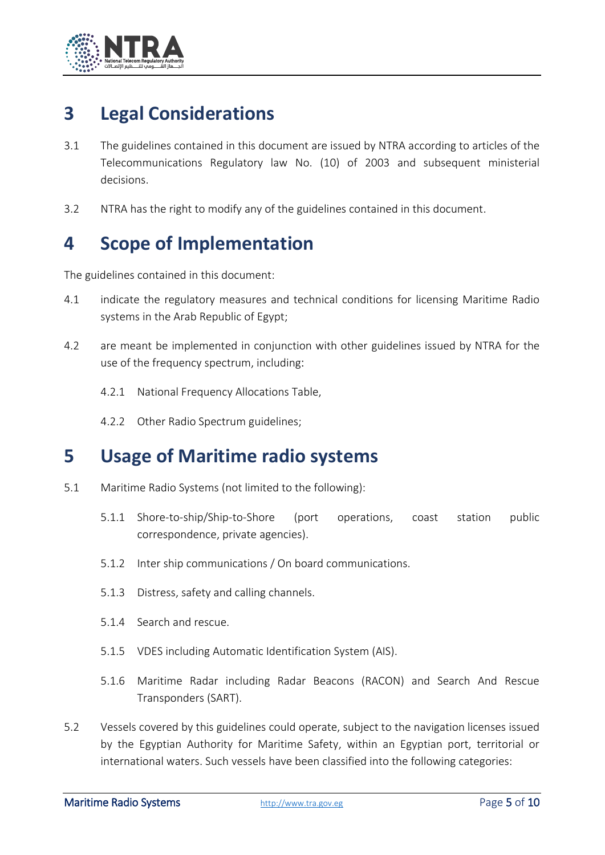

## **3 Legal Considerations**

- 3.1 The guidelines contained in this document are issued by NTRA according to articles of the Telecommunications Regulatory law No. (10) of 2003 and subsequent ministerial decisions.
- 3.2 NTRA has the right to modify any of the guidelines contained in this document.

## **4 Scope of Implementation**

The guidelines contained in this document:

- 4.1 indicate the regulatory measures and technical conditions for licensing Maritime Radio systems in the Arab Republic of Egypt;
- 4.2 are meant be implemented in conjunction with other guidelines issued by NTRA for the use of the frequency spectrum, including:
	- 4.2.1 National Frequency Allocations Table,
	- 4.2.2 Other Radio Spectrum guidelines;

#### **5 Usage of Maritime radio systems**

- 5.1 Maritime Radio Systems (not limited to the following):
	- 5.1.1 Shore-to-ship/Ship-to-Shore (port operations, coast station public correspondence, private agencies).
	- 5.1.2 Inter ship communications / On board communications.
	- 5.1.3 Distress, safety and calling channels.
	- 5.1.4 Search and rescue.
	- 5.1.5 VDES including Automatic Identification System (AIS).
	- 5.1.6 Maritime Radar including Radar Beacons (RACON) and Search And Rescue Transponders (SART).
- 5.2 Vessels covered by this guidelines could operate, subject to the navigation licenses issued by the Egyptian Authority for Maritime Safety, within an Egyptian port, territorial or international waters. Such vessels have been classified into the following categories: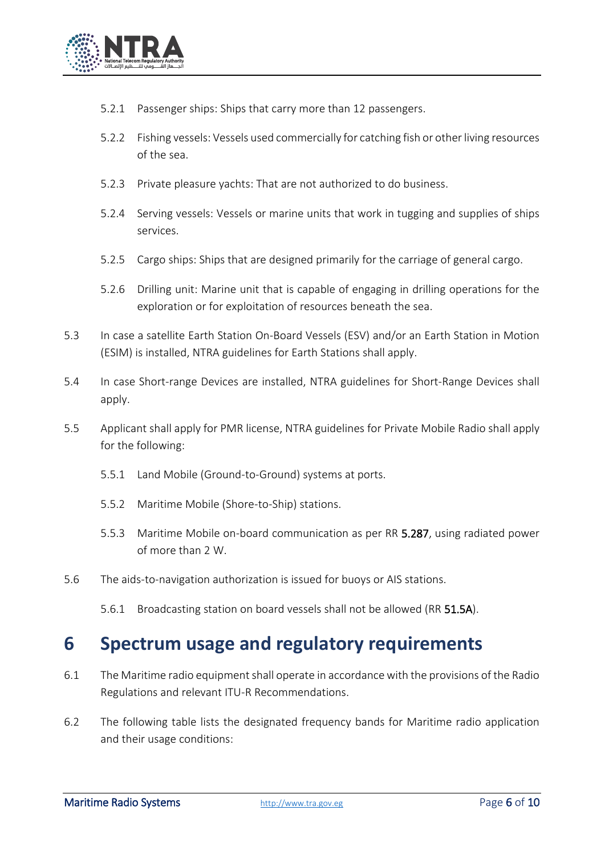

- 5.2.1 Passenger ships: Ships that carry more than 12 passengers.
- 5.2.2 Fishing vessels: Vessels used commercially for catching fish or other living resources of the sea.
- 5.2.3 Private pleasure yachts: That are not authorized to do business.
- 5.2.4 Serving vessels: Vessels or marine units that work in tugging and supplies of ships services.
- 5.2.5 Cargo ships: Ships that are designed primarily for the carriage of general cargo.
- 5.2.6 Drilling unit: Marine unit that is capable of engaging in drilling operations for the exploration or for exploitation of resources beneath the sea.
- 5.3 In case a satellite Earth Station On-Board Vessels (ESV) and/or an Earth Station in Motion (ESIM) is installed, NTRA guidelines for Earth Stations shall apply.
- 5.4 In case Short-range Devices are installed, NTRA guidelines for Short-Range Devices shall apply.
- 5.5 Applicant shall apply for PMR license, NTRA guidelines for Private Mobile Radio shall apply for the following:
	- 5.5.1 Land Mobile (Ground-to-Ground) systems at ports.
	- 5.5.2 Maritime Mobile (Shore-to-Ship) stations.
	- 5.5.3 Maritime Mobile on-board communication as per RR 5.287, using radiated power of more than 2 W.
- 5.6 The aids-to-navigation authorization is issued for buoys or AIS stations.
	- 5.6.1 Broadcasting station on board vessels shall not be allowed (RR 51.5A).

### **6 Spectrum usage and regulatory requirements**

- 6.1 The Maritime radio equipment shall operate in accordance with the provisions of the Radio Regulations and relevant ITU-R Recommendations.
- 6.2 The following table lists the designated frequency bands for Maritime radio application and their usage conditions: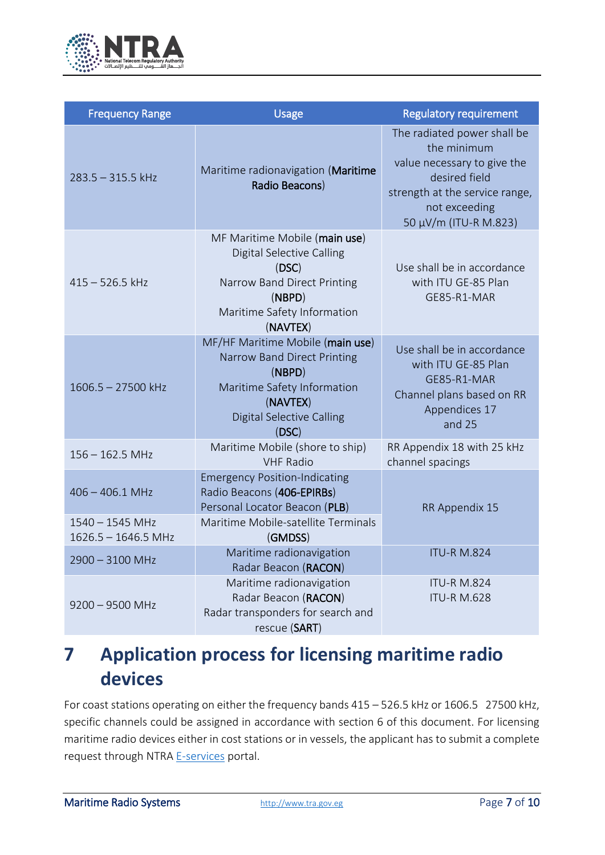

| <b>Frequency Range</b>                 | <b>Usage</b>                                                                                                                                                      | <b>Regulatory requirement</b>                                                                                                                                          |
|----------------------------------------|-------------------------------------------------------------------------------------------------------------------------------------------------------------------|------------------------------------------------------------------------------------------------------------------------------------------------------------------------|
| $283.5 - 315.5$ kHz                    | Maritime radionavigation (Maritime<br>Radio Beacons)                                                                                                              | The radiated power shall be<br>the minimum<br>value necessary to give the<br>desired field<br>strength at the service range,<br>not exceeding<br>50 μV/m (ITU-R M.823) |
| $415 - 526.5$ kHz                      | MF Maritime Mobile (main use)<br>Digital Selective Calling<br>(DSC)<br>Narrow Band Direct Printing<br>(NBPD)<br>Maritime Safety Information<br>(NAVTEX)           | Use shall be in accordance<br>with ITU GE-85 Plan<br>GE85-R1-MAR                                                                                                       |
| $1606.5 - 27500$ kHz                   | MF/HF Maritime Mobile (main use)<br>Narrow Band Direct Printing<br>(NBPD)<br>Maritime Safety Information<br>(NAVTEX)<br><b>Digital Selective Calling</b><br>(DSC) | Use shall be in accordance<br>with ITU GE-85 Plan<br>GE85-R1-MAR<br>Channel plans based on RR<br>Appendices 17<br>and 25                                               |
| $156 - 162.5$ MHz                      | Maritime Mobile (shore to ship)<br><b>VHF Radio</b>                                                                                                               | RR Appendix 18 with 25 kHz<br>channel spacings                                                                                                                         |
| $406 - 406.1$ MHz<br>$1540 - 1545$ MHz | <b>Emergency Position-Indicating</b><br>Radio Beacons (406-EPIRBs)<br>Personal Locator Beacon (PLB)<br>Maritime Mobile-satellite Terminals                        | RR Appendix 15                                                                                                                                                         |
| $1626.5 - 1646.5$ MHz                  | (GMDSS)                                                                                                                                                           |                                                                                                                                                                        |
| 2900 - 3100 MHz                        | Maritime radionavigation<br>Radar Beacon (RACON)                                                                                                                  | <b>ITU-R M.824</b>                                                                                                                                                     |
| $9200 - 9500$ MHz                      | Maritime radionavigation<br>Radar Beacon (RACON)<br>Radar transponders for search and<br>rescue (SART)                                                            | <b>ITU-R M.824</b><br><b>ITU-R M.628</b>                                                                                                                               |

## **7 Application process for licensing maritime radio devices**

For coast stations operating on either the frequency bands 415 – 526.5 kHz or 1606.5 27500 kHz, specific channels could be assigned in accordance with section 6 of this document. For licensing maritime radio devices either in cost stations or in vessels, the applicant has to submit a complete request through NTRA [E-services](https://digital.tra.gov.eg/) portal.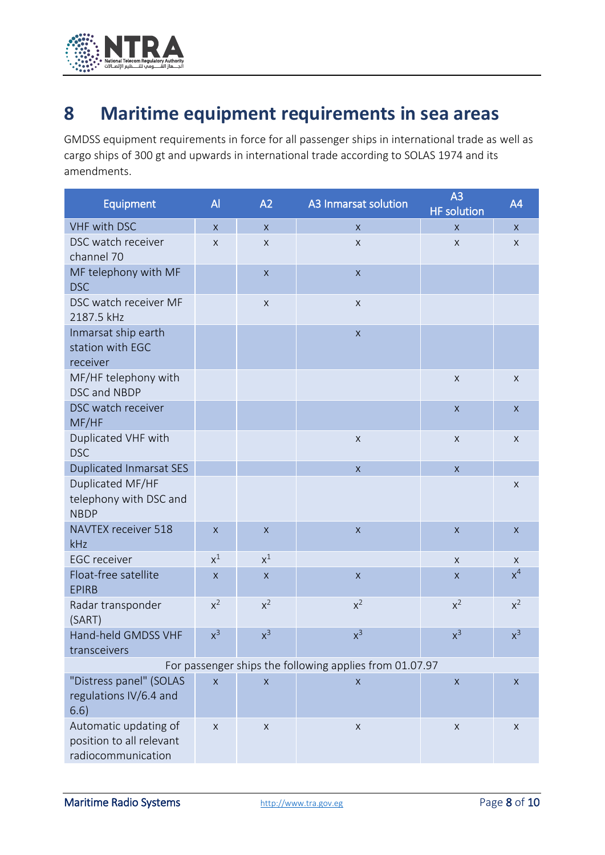

## **8 Maritime equipment requirements in sea areas**

GMDSS equipment requirements in force for all passenger ships in international trade as well as cargo ships of 300 gt and upwards in international trade according to SOLAS 1974 and its amendments.

| <b>Equipment</b>                                                        | $\overline{A}$ | A2           | A3 Inmarsat solution | A <sub>3</sub><br><b>HF</b> solution | A4           |  |
|-------------------------------------------------------------------------|----------------|--------------|----------------------|--------------------------------------|--------------|--|
| <b>VHF with DSC</b>                                                     | $\mathsf{x}$   | $\mathsf{X}$ | $\mathsf{X}$         | $\mathsf{x}$                         | $\mathsf{X}$ |  |
| DSC watch receiver<br>channel 70                                        | X              | X            | X                    | X                                    | X            |  |
| MF telephony with MF<br><b>DSC</b>                                      |                | $\mathsf X$  | $\mathsf X$          |                                      |              |  |
| DSC watch receiver MF<br>2187.5 kHz                                     |                | $\mathsf X$  | X                    |                                      |              |  |
| Inmarsat ship earth<br>station with EGC<br>receiver                     |                |              | $\mathsf X$          |                                      |              |  |
| MF/HF telephony with<br>DSC and NBDP                                    |                |              |                      | $\mathsf X$                          | $\mathsf X$  |  |
| DSC watch receiver<br>MF/HF                                             |                |              |                      | $\mathsf X$                          | $\mathsf X$  |  |
| Duplicated VHF with<br><b>DSC</b>                                       |                |              | $\mathsf X$          | $\mathsf X$                          | $\mathsf X$  |  |
| <b>Duplicated Inmarsat SES</b>                                          |                |              | $\mathsf X$          | $\mathsf X$                          |              |  |
| Duplicated MF/HF<br>telephony with DSC and<br><b>NBDP</b>               |                |              |                      |                                      | X            |  |
| <b>NAVTEX receiver 518</b><br>kHz                                       | $\mathsf X$    | $\mathsf X$  | $\mathsf X$          | $\pmb{\times}$                       | $\mathsf X$  |  |
| <b>EGC</b> receiver                                                     | $x^1$          | $x^1$        |                      | $\mathsf{X}$                         | X            |  |
| Float-free satellite<br><b>EPIRB</b>                                    | $\mathsf{X}$   | $\mathsf X$  | $\mathsf X$          | $\mathsf{X}$                         | $x^4$        |  |
| Radar transponder<br>(SART)                                             | $x^2$          | $x^2$        | $x^2$                | $x^2$                                | $x^2$        |  |
| Hand-held GMDSS VHF<br>transceivers                                     | $x^3$          | $x^3$        | $x^3$                | $x^3$                                | $x^3$        |  |
| For passenger ships the following applies from 01.07.97                 |                |              |                      |                                      |              |  |
| "Distress panel" (SOLAS<br>regulations IV/6.4 and<br>6.6)               | $\mathsf X$    | X            | X                    | $\mathsf X$                          | X            |  |
| Automatic updating of<br>position to all relevant<br>radiocommunication | $\mathsf X$    | $\mathsf X$  | $\mathsf X$          | $\mathsf X$                          | X            |  |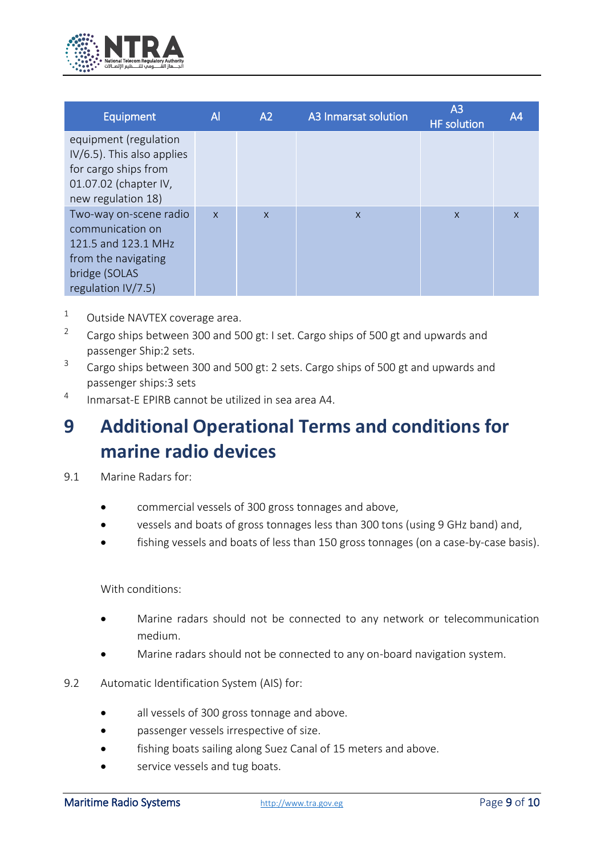

| <b>Equipment</b>                                                                                                                | $\mathsf{A}$ | A2           | A3 Inmarsat solution | A <sub>3</sub><br><b>HF</b> solution | A <sub>4</sub> |
|---------------------------------------------------------------------------------------------------------------------------------|--------------|--------------|----------------------|--------------------------------------|----------------|
| equipment (regulation<br>IV/6.5). This also applies<br>for cargo ships from<br>01.07.02 (chapter IV,<br>new regulation 18)      |              |              |                      |                                      |                |
| Two-way on-scene radio<br>communication on<br>121.5 and 123.1 MHz<br>from the navigating<br>bridge (SOLAS<br>regulation IV/7.5) | $\mathsf{x}$ | $\mathsf{x}$ | $\mathsf{x}$         | $\mathsf{x}$                         | $\mathsf{x}$   |

- $1$  Outside NAVTEX coverage area.
- 2 Cargo ships between 300 and 500 gt: I set. Cargo ships of 500 gt and upwards and passenger Ship:2 sets.
- 3 Cargo ships between 300 and 500 gt: 2 sets. Cargo ships of 500 gt and upwards and passenger ships:3 sets
- 4 Inmarsat-E EPIRB cannot be utilized in sea area A4.

## **9 Additional Operational Terms and conditions for marine radio devices**

- 9.1 Marine Radars for:
	- commercial vessels of 300 gross tonnages and above,
	- vessels and boats of gross tonnages less than 300 tons (using 9 GHz band) and,
	- fishing vessels and boats of less than 150 gross tonnages (on a case-by-case basis).

With conditions:

- Marine radars should not be connected to any network or telecommunication medium.
- Marine radars should not be connected to any on-board navigation system.
- 9.2 Automatic Identification System (AIS) for:
	- all vessels of 300 gross tonnage and above.
	- passenger vessels irrespective of size.
	- fishing boats sailing along Suez Canal of 15 meters and above.
	- service vessels and tug boats.